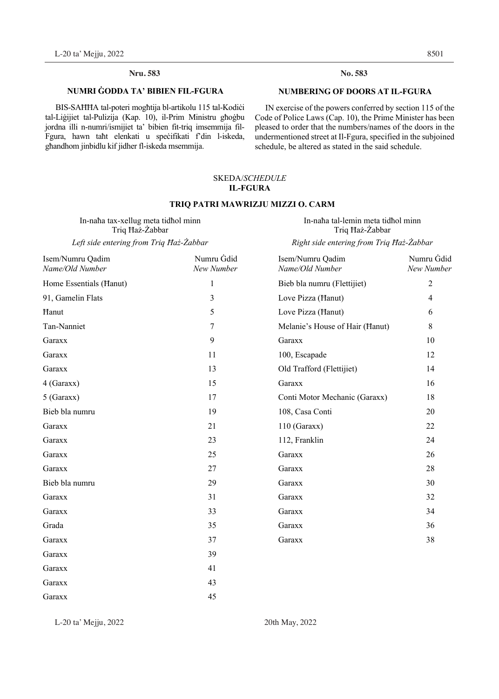#### **Nru. No. Nru. 583 No. 583**

#### **NUMRI ĠODDA TA' BIBIEN FIL-FGURA**

BIS-SAHHA tal-poteri moghtija bl-artikolu 115 tal-Kodići tal-Liġijiet tal-Pulizija (Kap. 10), il-Prim Ministru għoġbu jordna illi n-numri/ismijiet ta' bibien fit-triq imsemmija fil-Fgura, hawn taħt elenkati u speċifikati f'din l-iskeda, għandhom jinbidlu kif jidher fl-iskeda msemmija.

#### **NUMBERING OF DOORS AT IL-FGURA**

 IN exercise of the powers conferred by section 115 of the Code of Police Laws (Cap. 10), the Prime Minister has been pleased to order that the numbers/names of the doors in the undermentioned street at Il-Fgura, specified in the subjoined schedule, be altered as stated in the said schedule.

#### SKEDA/*SCHEDULE*  **IL-FGURA**

#### **TRIQ PATRI MAWRIZJU MIZZI O. CARM**

In-naħa tax-xellug meta tidħol minn Triq Ħaż-Żabbar

In-naħa tal-lemin meta tidħol minn Triq Ħaż-Żabbar

*Left side entering from Triq Ħaż-Żabbar Right side entering from Triq Ħaż-Żabbar* 

| Isem/Numru Qadim<br>Name/Old Number | Numru Gdid<br>New Number | Isem/Numru Qadim<br>Name/Old Number | Numru Gdid<br>New Number |
|-------------------------------------|--------------------------|-------------------------------------|--------------------------|
| Home Essentials (Hanut)             | $\mathbf{1}$             | Bieb bla numru (Flettijiet)         | 2                        |
| 91, Gamelin Flats                   | 3                        | Love Pizza (Hanut)                  | 4                        |
| Hanut                               | 5                        | Love Pizza (Hanut)                  | 6                        |
| Tan-Nanniet                         | 7                        | Melanie's House of Hair (Hanut)     | 8                        |
| Garaxx                              | 9                        | Garaxx                              | 10                       |
| Garaxx                              | 11                       | 100, Escapade                       | 12                       |
| Garaxx                              | 13                       | Old Trafford (Flettijiet)           | 14                       |
| 4 (Garaxx)                          | 15                       | Garaxx                              | 16                       |
| $5$ (Garaxx)                        | 17                       | Conti Motor Mechanic (Garaxx)       | 18                       |
| Bieb bla numru                      | 19                       | 108, Casa Conti                     | 20                       |
| Garaxx                              | 21                       | $110$ (Garaxx)                      | 22                       |
| Garaxx                              | 23                       | 112, Franklin                       | 24                       |
| Garaxx                              | 25                       | Garaxx                              | 26                       |
| Garaxx                              | 27                       | Garaxx                              | 28                       |
| Bieb bla numru                      | 29                       | Garaxx                              | 30                       |
| Garaxx                              | 31                       | Garaxx                              | 32                       |
| Garaxx                              | 33                       | Garaxx                              | 34                       |
| Grada                               | 35                       | Garaxx                              | 36                       |
| Garaxx                              | 37                       | Garaxx                              | 38                       |
| Garaxx                              | 39                       |                                     |                          |
| Garaxx                              | 41                       |                                     |                          |
| Garaxx                              | 43                       |                                     |                          |
| Garaxx                              | 45                       |                                     |                          |

L-20 ta' Mejju, 2022 20th May, 2022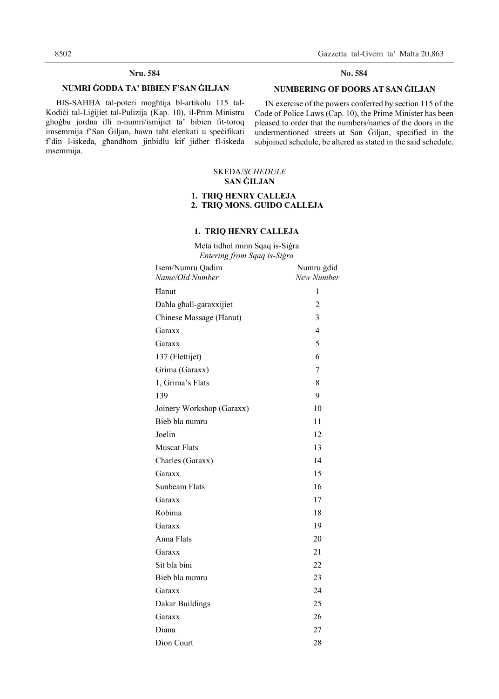#### **Nru. Nru. 584 No. 584**

#### **NUMRI ĠODDA TA' BIBIEN F'SAN ĠILJAN**

 BIS-SAĦĦA tal-poteri mogħtija bl-artikolu 115 tal-Kodiċi tal-Liġijiet tal-Pulizija (Kap. 10), il-Prim Ministru għoġbu jordna illi n-numri/ismijiet ta' bibien fit-toroq imsemmija f'San Ġiljan, hawn taħt elenkati u speċifikati f'din l-iskeda, għandhom jinbidlu kif jidher fl-iskeda msemmija.

No. 584

#### **NUMBERING OF DOORS AT SAN ĠILJAN**

 IN exercise of the powers conferred by section 115 of the Code of Police Laws (Cap. 10), the Prime Minister has been pleased to order that the numbers/names of the doors in the undermentioned streets at San Giljan, specified in the subjoined schedule, be altered as stated in the said schedule.

#### SKEDA/*SCHEDULE*  **SAN ĠILJAN**

#### **1. TRIQ HENRY CALLEJA 2. TRIQ MONS. GUIDO CALLEJA**

#### **1. TRIQ HENRY CALLEJA**

Meta tidħol minn Sqaq is-Siġra *Entering from Sqaq is-Siġra* 

| Isem/Numru Qadim<br>Name/Old Number | Numru ġdid<br>New Number |
|-------------------------------------|--------------------------|
| Hanut                               | 1                        |
| Dahla ghall-garaxxijiet             | $\overline{2}$           |
| Chinese Massage (Hanut)             | 3                        |
| Garaxx                              | 4                        |
| Garaxx                              | 5                        |
| 137 (Flettijet)                     | 6                        |
| Grima (Garaxx)                      | 7                        |
| 1, Grima's Flats                    | 8                        |
| 139                                 | 9                        |
| Joinery Workshop (Garaxx)           | 10                       |
| Bieb bla numru                      | 11                       |
| Joelin                              | 12                       |
| <b>Muscat Flats</b>                 | 13                       |
| Charles (Garaxx)                    | 14                       |
| Garaxx                              | 15                       |
| Sunbeam Flats                       | 16                       |
| Garaxx                              | 17                       |
| Robinia                             | 18                       |
| Garaxx                              | 19                       |
| Anna Flats                          | 20                       |
| Garaxx                              | 21                       |
| Sit bla bini                        | 22                       |
| Bieb bla numru                      | 23                       |
| Garaxx                              | 24                       |
| Dakar Buildings                     | 25                       |
| Garaxx                              | 26                       |
| Diana                               | 27                       |
| Dion Court                          | 28                       |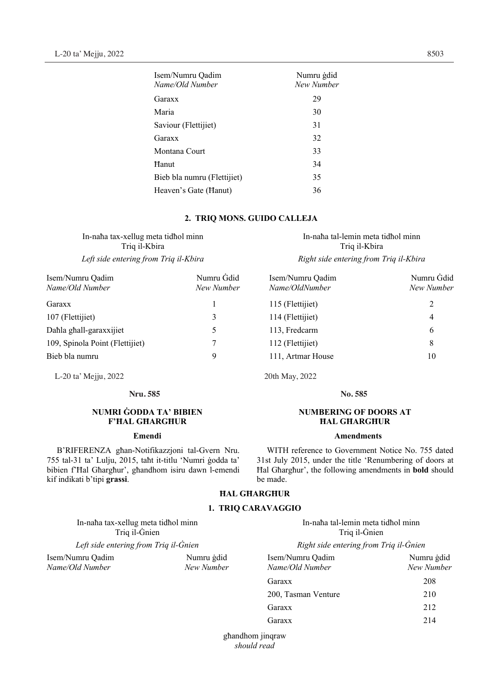| Isem/Numru Oadim<br>Name/Old Number | Numru gdid<br>New Number |
|-------------------------------------|--------------------------|
| Garaxx                              | 29                       |
| Maria                               | 30                       |
| Saviour (Flettijiet)                | 31                       |
| Garaxx                              | 32                       |
| Montana Court                       | 33                       |
| Hanut                               | 34                       |
| Bieb bla numru (Flettijiet)         | 35                       |
| Heaven's Gate (Hanut)               | 36                       |

#### **2. TRIQ MONS. GUIDO CALLEJA**

In-naħa tax-xellug meta tidħol minn Triq il-Kbira

| Isem/Numru Qadim                | Numru Gdid | Isem/Numru Qadim  | Numru Gdid |
|---------------------------------|------------|-------------------|------------|
| Name/Old Number                 | New Number | Name/OldNumber    | New Number |
| Garaxx                          |            | 115 (Flettijiet)  | 2          |
| 107 (Flettijiet)                | 3          | 114 (Flettijiet)  | 4          |
| Dahla ghall-garaxxijiet         |            | 113, Fredcarm     | 6          |
| 109, Spinola Point (Flettijiet) |            | 112 (Flettijiet)  | 8          |
| Bieb bla numru                  | 9          | 111, Artmar House | 10         |

L-20 ta' Mejju, 2022 20th May, 2022 L-20 ta' Mejju, 2022 20th May, 2022

# **Nru. Nru. 585 No. 585**

#### **NUMRI ĠODDA TA' BIBIEN F'ĦAL GĦARGĦUR**

#### **Emendi**

B'RIFERENZA għan-Notifikazzjoni tal-Gvern Nru. 755 tal-31 ta' Lulju, 2015, taħt it-titlu 'Numri ġodda ta' bibien f'Ħal Għargħur', għandhom isiru dawn l-emendi kif indikati b'tipi **grassi**.

#### **ĦAL GĦARGĦUR**

#### **1. TRIQ CARAVAGGIO**

In-naħa tax-xellug meta tidħol minn In-naħa tal-lemin meta tidħol minn Triq il-Ġnien *Left side entering from Triq il-Ġnien* and *Right side entering from Triq il-Ġnien* Isem/Numru Qadim Numru ġdid Isem/Numru Qadim Numru ġdid *Name/Old Number New Number Name/Old Number New Number*Garaxx 208 200, Tasman Venture 210 Garaxx 212

> għandhom jinqraw *should read*

In-naħa tal-lemin meta tidħol minn Triq il-Kbira *Left side entering from Triq il-Kbira Right side entering from Triq il-Kbira Right side entering from Triq il-Kbira* 

| Name/OldNumber    | New Num       |
|-------------------|---------------|
| 115 (Flettijiet)  | $\mathcal{L}$ |
| 114 (Flettijiet)  | 4             |
| 113, Fredcarm     | 6             |
| 112 (Flettijiet)  | 8             |
| 111, Artmar House | 10            |

No. 585

#### **NUMBERING OF DOORS AT ĦAL GĦARGĦUR**

#### **Amendments**

WITH reference to Government Notice No. 755 dated 31st July 2015, under the title 'Renumbering of doors at Ħal Għargħur', the following amendments in **bold** should be made.

| 1 ġdid<br>umber | Isem/Numru Oadim<br>Name/Old Number | Numru gdic<br>New Numbe |
|-----------------|-------------------------------------|-------------------------|
|                 | Garaxx                              | 208                     |
|                 | 200, Tasman Venture                 | 210                     |
|                 | Garaxx                              | 2.12                    |
|                 | Garaxx                              | 214                     |
|                 |                                     |                         |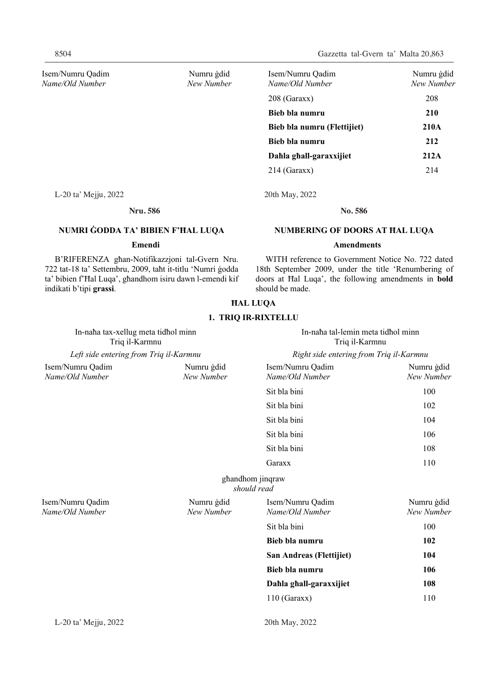8504 Gazzetta tal-Gvern ta' Malta 20,863

| Isem/Numru Qadim<br>Name/Old Number | Numru gdid<br>New Number | Isem/Numru Qadim<br>Name/Old Number | Numru gdid<br>New Number |
|-------------------------------------|--------------------------|-------------------------------------|--------------------------|
|                                     |                          | $208$ (Garaxx)                      | 208                      |
|                                     |                          | Bieb bla numru                      | <b>210</b>               |
|                                     |                          | Bieb bla numru (Flettijiet)         | 210A                     |
|                                     |                          | Bieb bla numru                      | 212                      |
|                                     |                          | Dahla ghall-garaxxijiet             | 212A                     |
|                                     |                          | $214$ (Garaxx)                      | 214                      |
|                                     |                          |                                     |                          |

L-20 ta' Mejju, 2022 20th May, 2022

#### **Nru. 586 No. 586** No. 586

#### **NUMBERING OF DOORS AT ĦAL LUQA**

#### **Amendments**

WITH reference to Government Notice No. 722 dated 18th September 2009, under the title 'Renumbering of doors at Ħal Luqa', the following amendments in **bold** should be made.

# **NUMRI ĠODDA TA' BIBIEN F'ĦAL LUQA**

### **Emendi**

B'RIFERENZA għan-Notifikazzjoni tal-Gvern Nru. 722 tat-18 ta' Settembru, 2009, taħt it-titlu 'Numri ġodda ta' bibien f'Ħal Luqa', għandhom isiru dawn l-emendi kif indikati b'tipi **grassi**.

**ĦAL LUQA** 

#### **1. TRIQ IR-RIXTELLU**

| Left side entering from Triq il-Karmnu<br>Right side entering from Triq il-Karmnu<br>Numru ġdid<br>Isem/Numru Qadim<br>Isem/Numru Qadim<br>Numru gdid<br>Name/Old Number<br>New Number<br>Name/Old Number<br>Sit bla bini<br>100<br>Sit bla bini<br>102<br>Sit bla bini<br>104<br>Sit bla bini<br>106<br>Sit bla bini<br>108<br>110<br>Garaxx<br>ghandhom jinqraw<br>should read<br>Isem/Numru Qadim<br>Numru ġdid<br>Isem/Numru Qadim<br>Numru ġdid<br>Name/Old Number<br>New Number<br>Name/Old Number<br>Sit bla bini<br>100<br>102<br>Bieb bla numru<br>San Andreas (Flettijiet)<br>104<br>Bieb bla numru<br>106<br>108<br>Dahla ghall-garaxxijiet<br>$110$ (Garaxx)<br>110 | In-naha tax-xellug meta tidhol minn<br>Triq il-Karmnu |  | In-naha tal-lemin meta tidhol minn<br>Triq il-Karmnu |            |
|---------------------------------------------------------------------------------------------------------------------------------------------------------------------------------------------------------------------------------------------------------------------------------------------------------------------------------------------------------------------------------------------------------------------------------------------------------------------------------------------------------------------------------------------------------------------------------------------------------------------------------------------------------------------------------|-------------------------------------------------------|--|------------------------------------------------------|------------|
|                                                                                                                                                                                                                                                                                                                                                                                                                                                                                                                                                                                                                                                                                 |                                                       |  |                                                      |            |
|                                                                                                                                                                                                                                                                                                                                                                                                                                                                                                                                                                                                                                                                                 |                                                       |  |                                                      | New Number |
|                                                                                                                                                                                                                                                                                                                                                                                                                                                                                                                                                                                                                                                                                 |                                                       |  |                                                      |            |
|                                                                                                                                                                                                                                                                                                                                                                                                                                                                                                                                                                                                                                                                                 |                                                       |  |                                                      |            |
|                                                                                                                                                                                                                                                                                                                                                                                                                                                                                                                                                                                                                                                                                 |                                                       |  |                                                      |            |
|                                                                                                                                                                                                                                                                                                                                                                                                                                                                                                                                                                                                                                                                                 |                                                       |  |                                                      |            |
|                                                                                                                                                                                                                                                                                                                                                                                                                                                                                                                                                                                                                                                                                 |                                                       |  |                                                      |            |
|                                                                                                                                                                                                                                                                                                                                                                                                                                                                                                                                                                                                                                                                                 |                                                       |  |                                                      |            |
|                                                                                                                                                                                                                                                                                                                                                                                                                                                                                                                                                                                                                                                                                 |                                                       |  |                                                      |            |
|                                                                                                                                                                                                                                                                                                                                                                                                                                                                                                                                                                                                                                                                                 |                                                       |  |                                                      | New Number |
|                                                                                                                                                                                                                                                                                                                                                                                                                                                                                                                                                                                                                                                                                 |                                                       |  |                                                      |            |
|                                                                                                                                                                                                                                                                                                                                                                                                                                                                                                                                                                                                                                                                                 |                                                       |  |                                                      |            |
|                                                                                                                                                                                                                                                                                                                                                                                                                                                                                                                                                                                                                                                                                 |                                                       |  |                                                      |            |
|                                                                                                                                                                                                                                                                                                                                                                                                                                                                                                                                                                                                                                                                                 |                                                       |  |                                                      |            |
|                                                                                                                                                                                                                                                                                                                                                                                                                                                                                                                                                                                                                                                                                 |                                                       |  |                                                      |            |
|                                                                                                                                                                                                                                                                                                                                                                                                                                                                                                                                                                                                                                                                                 |                                                       |  |                                                      |            |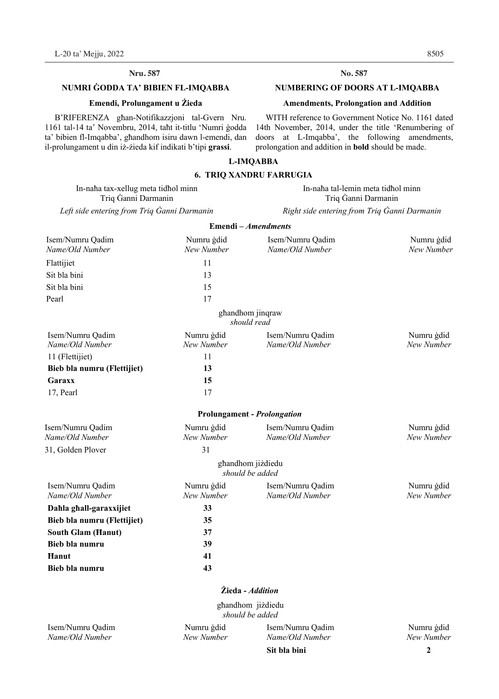#### **Nru. 587 No. 587**

### **NUMRI ĠODDA TA' BIBIEN FL-IMQABBA**

#### **Emendi, Prolungament u Żieda**

B'RIFERENZA għan-Notifikazzjoni tal-Gvern Nru. 1161 tal-14 ta' Novembru, 2014, taħt it-titlu 'Numri ġodda ta' bibien fl-Imqabba', għandhom isiru dawn l-emendi, dan il-prolungament u din iż-żieda kif indikati b'tipi **grassi**.

#### No. 587

#### **NUMBERING OF DOORS AT L-IMQABBA**

#### **Amendments, Prolongation and Addition**

WITH reference to Government Notice No. 1161 dated 14th November, 2014, under the title 'Renumbering of doors at L-Imqabba', the following amendments, prolongation and addition in **bold** should be made.

#### **L-IMQABBA**

#### **6. TRIQ XANDRU FARRUGIA**

In-naħa tax-xellug meta tidħol minn In-naħa tal-lemin meta tidħol minn Triq Ġanni Darmanin Triq Ġanni Darmanin

*Left side entering from Triq Ġanni Darmanin Right side entering from Triq Ġanni Darmanin*

|                                     |                          | Emendi - Amendments                  |                          |
|-------------------------------------|--------------------------|--------------------------------------|--------------------------|
| Isem/Numru Qadim                    | Numru ġdid               | Isem/Numru Qadim                     | Numru gdid               |
| Name/Old Number                     | New Number               | Name/Old Number                      | New Number               |
| Flattijiet                          | 11                       |                                      |                          |
| Sit bla bini                        | 13                       |                                      |                          |
| Sit bla bini                        | 15                       |                                      |                          |
| Pearl                               | 17                       |                                      |                          |
|                                     |                          | ghandhom jinqraw<br>should read      |                          |
| Isem/Numru Qadim                    | Numru ġdid               | Isem/Numru Qadim                     | Numru gdid               |
| Name/Old Number                     | New Number               | Name/Old Number                      | New Number               |
| 11 (Flettijiet)                     | 11                       |                                      |                          |
| Bieb bla numru (Flettijiet)         | 13                       |                                      |                          |
| Garaxx                              | 15                       |                                      |                          |
| 17, Pearl                           | 17                       |                                      |                          |
|                                     |                          | <b>Prolungament - Prolongation</b>   |                          |
| Isem/Numru Qadim<br>Name/Old Number | Numru gdid<br>New Number | Isem/Numru Qadim<br>Name/Old Number  | Numru ġdid<br>New Number |
| 31, Golden Plover                   | 31                       |                                      |                          |
|                                     |                          | ghandhom jiżdiedu<br>should be added |                          |
| Isem/Numru Qadim<br>Name/Old Number | Numru ġdid<br>New Number | Isem/Numru Qadim<br>Name/Old Number  | Numru gdid<br>New Number |
| Dahla ghall-garaxxijiet             | 33                       |                                      |                          |
| Bieb bla numru (Flettijiet)         | 35                       |                                      |                          |
| <b>South Glam (Hanut)</b>           | 37                       |                                      |                          |
| Bieb bla numru                      | 39                       |                                      |                          |
| Hanut                               | 41                       |                                      |                          |
| Bieb bla numru                      | 43                       |                                      |                          |
|                                     |                          | <b>Żieda</b> - Addition              |                          |
|                                     |                          | ghandhom jiżdiedu<br>should be added |                          |
| Isem/Numru Qadim                    | Numru ġdid               | Isem/Numru Oadim                     | Numru gdid               |

*Name/Old Number New Number Name/Old Number New Number*

**Sit bla bini** 2